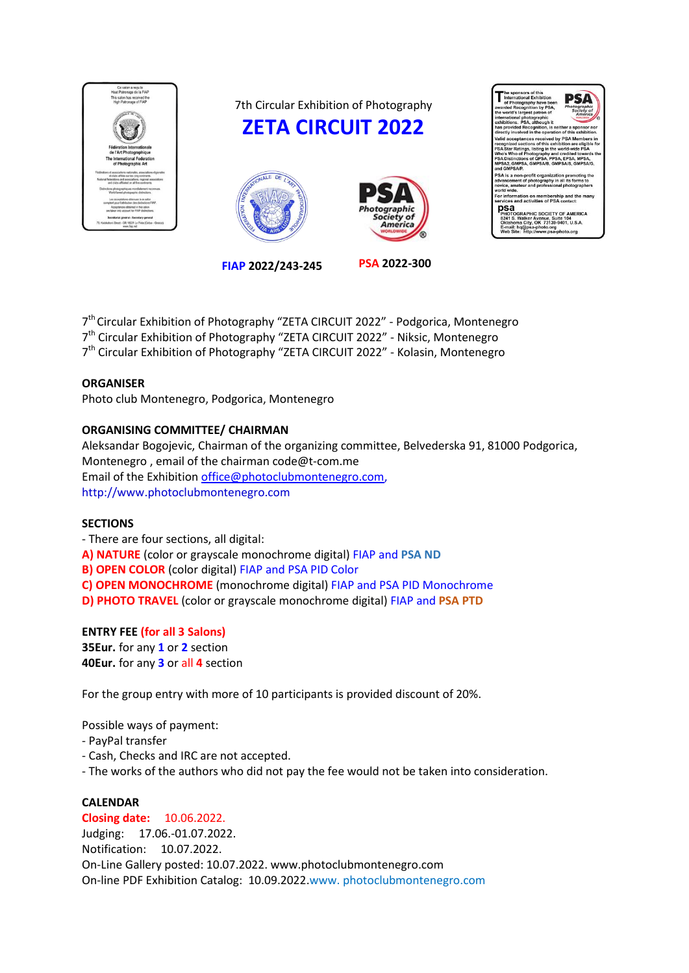

7th Circular Exhibition of Photography







JC/ psa iite 104<br>-9401. U.S.A OK 73139

**FIAP 2022/243-245 PSA 2022-300**

7<sup>th</sup> Circular Exhibition of Photography "ZETA CIRCUIT 2022" - Podgorica, Montenegro 7<sup>th</sup> Circular Exhibition of Photography "ZETA CIRCUIT 2022" - Niksic, Montenegro 7<sup>th</sup> Circular Exhibition of Photography "ZETA CIRCUIT 2022" - Kolasin, Montenegro

# **ORGANISER**

Photo club Montenegro, Podgorica, Montenegro

# **ORGANISING COMMITTEE/ CHAIRMAN**

Aleksandar Bogojevic, Chairman of the organizing committee, Belvederska 91, 81000 Podgorica, Montenegro , email of the chairman code@t-com.me Email of the Exhibition [office@photoclubmontenegro.com,](mailto:office@photoclubmontenegro.com) http://www.photoclubmontenegro.com

### **SECTIONS**

- There are four sections, all digital: **A) NATURE** (color or grayscale monochrome digital) FIAP and **PSA ND B) OPEN COLOR** (color digital) FIAP and PSA PID Color **C) OPEN MONOCHROME** (monochrome digital) FIAP and PSA PID Monochrome **D) PHOTO TRAVEL** (color or grayscale monochrome digital) FIAP and **PSA PTD**

### **ENTRY FEE (for all 3 Salons)**

**35Eur.** for any **1** or **2** section **40Eur.** for any **3** or all **4** section

For the group entry with more of 10 participants is provided discount of 20%.

Possible ways of payment:

- PayPal transfer
- Cash, Checks and IRC are not accepted.
- The works of the authors who did not pay the fee would not be taken into consideration.

# **CALENDAR**

### **Closing date:** 10.06.2022.

Judging: 17.06.-01.07.2022. Notification: 10.07.2022. On-Line Gallery posted: 10.07.2022. www.photoclubmontenegro.com On-line PDF Exhibition Catalog: 10.09.2022.www. photoclubmontenegro.com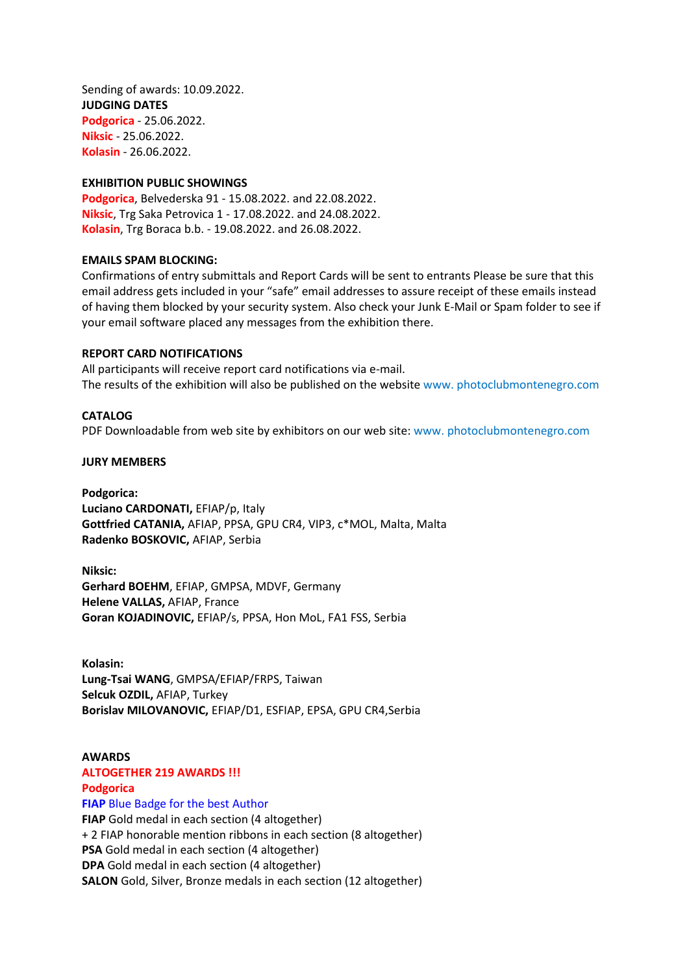Sending of awards: 10.09.2022. **JUDGING DATES Podgorica** - 25.06.2022. **Niksic** - 25.06.2022. **Kolasin** - 26.06.2022.

#### **EXHIBITION PUBLIC SHOWINGS**

**Podgorica**, Belvederska 91 - 15.08.2022. and 22.08.2022. **Niksic**, Trg Saka Petrovica 1 - 17.08.2022. and 24.08.2022. **Kolasin**, Trg Boraca b.b. - 19.08.2022. and 26.08.2022.

#### **EMAILS SPAM BLOCKING:**

Confirmations of entry submittals and Report Cards will be sent to entrants Please be sure that this email address gets included in your "safe" email addresses to assure receipt of these emails instead of having them blocked by your security system. Also check your Junk E-Mail or Spam folder to see if your email software placed any messages from the exhibition there.

#### **REPORT CARD NOTIFICATIONS**

All participants will receive report card notifications via e-mail. The results of the exhibition will also be published on the website www. photoclubmontenegro.com

#### **CATALOG**

PDF Downloadable from web site by exhibitors on our web site: www. photoclubmontenegro.com

#### **JURY MEMBERS**

**Podgorica: Luciano CARDONATI,** EFIAP/p, Italy **Gottfried CATANIA,** AFIAP, PPSA, GPU CR4, VIP3, c\*MOL, Malta, Malta **Radenko BOSKOVIC,** AFIAP, Serbia

**Niksic: Gerhard BOEHM**, EFIAP, GMPSA, MDVF, Germany **Helene VALLAS,** AFIAP, France **Goran KOJADINOVIC,** EFIAP/s, PPSA, Hon MoL, FA1 FSS, Serbia

**Kolasin: Lung-Tsai WANG**, GMPSA/EFIAP/FRPS, Taiwan **Selcuk OZDIL,** AFIAP, Turkey **Borislav MILOVANOVIC,** EFIAP/D1, ESFIAP, EPSA, GPU CR4,Serbia

# **AWARDS ALTOGETHER 219 AWARDS !!! Podgorica FIAP** Blue Badge for the best Author **FIAP** Gold medal in each section (4 altogether) + 2 FIAP honorable mention ribbons in each section (8 altogether) **PSA** Gold medal in each section (4 altogether) **DPA** Gold medal in each section (4 altogether) **SALON** Gold, Silver, Bronze medals in each section (12 altogether)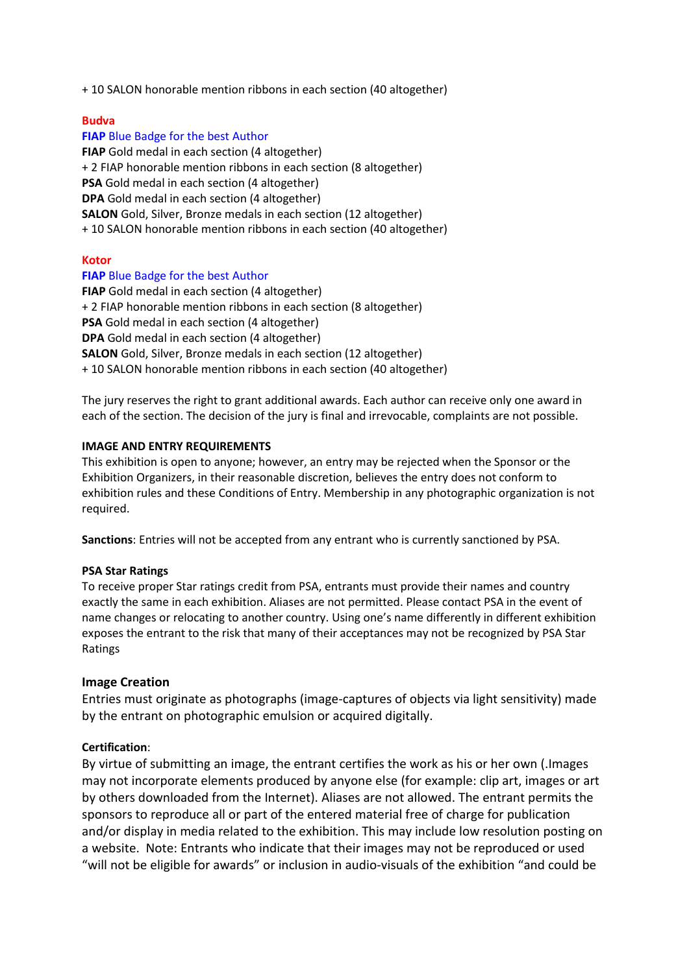+ 10 SALON honorable mention ribbons in each section (40 altogether)

### **Budva**

# **FIAP** Blue Badge for the best Author **FIAP** Gold medal in each section (4 altogether) + 2 FIAP honorable mention ribbons in each section (8 altogether) **PSA** Gold medal in each section (4 altogether) **DPA** Gold medal in each section (4 altogether) **SALON** Gold, Silver, Bronze medals in each section (12 altogether) + 10 SALON honorable mention ribbons in each section (40 altogether)

### **Kotor**

### **FIAP** Blue Badge for the best Author

**FIAP** Gold medal in each section (4 altogether) + 2 FIAP honorable mention ribbons in each section (8 altogether) **PSA** Gold medal in each section (4 altogether) **DPA** Gold medal in each section (4 altogether) **SALON** Gold, Silver, Bronze medals in each section (12 altogether) + 10 SALON honorable mention ribbons in each section (40 altogether)

The jury reserves the right to grant additional awards. Each author can receive only one award in each of the section. The decision of the jury is final and irrevocable, complaints are not possible.

### **IMAGE AND ENTRY REQUIREMENTS**

This exhibition is open to anyone; however, an entry may be rejected when the Sponsor or the Exhibition Organizers, in their reasonable discretion, believes the entry does not conform to exhibition rules and these Conditions of Entry. Membership in any photographic organization is not required.

**Sanctions**: Entries will not be accepted from any entrant who is currently sanctioned by PSA.

### **PSA Star Ratings**

To receive proper Star ratings credit from PSA, entrants must provide their names and country exactly the same in each exhibition. Aliases are not permitted. Please contact PSA in the event of name changes or relocating to another country. Using one's name differently in different exhibition exposes the entrant to the risk that many of their acceptances may not be recognized by PSA Star Ratings

### **Image Creation**

Entries must originate as photographs (image-captures of objects via light sensitivity) made by the entrant on photographic emulsion or acquired digitally.

### **Certification**:

By virtue of submitting an image, the entrant certifies the work as his or her own (.Images may not incorporate elements produced by anyone else (for example: clip art, images or art by others downloaded from the Internet). Aliases are not allowed. The entrant permits the sponsors to reproduce all or part of the entered material free of charge for publication and/or display in media related to the exhibition. This may include low resolution posting on a website. Note: Entrants who indicate that their images may not be reproduced or used "will not be eligible for awards" or inclusion in audio-visuals of the exhibition "and could be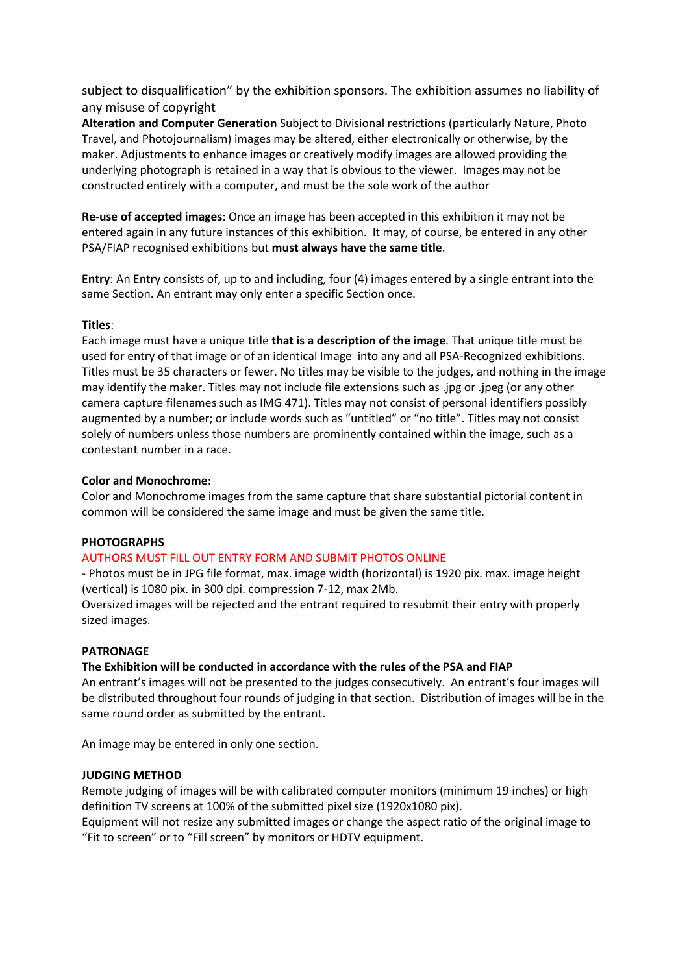subject to disqualification" by the exhibition sponsors. The exhibition assumes no liability of any misuse of copyright

**Alteration and Computer Generation** Subject to Divisional restrictions (particularly Nature, Photo Travel, and Photojournalism) images may be altered, either electronically or otherwise, by the maker. Adjustments to enhance images or creatively modify images are allowed providing the underlying photograph is retained in a way that is obvious to the viewer. Images may not be constructed entirely with a computer, and must be the sole work of the author

**Re-use of accepted images**: Once an image has been accepted in this exhibition it may not be entered again in any future instances of this exhibition. It may, of course, be entered in any other PSA/FIAP recognised exhibitions but **must always have the same title**.

**Entry**: An Entry consists of, up to and including, four (4) images entered by a single entrant into the same Section. An entrant may only enter a specific Section once.

### **Titles**:

Each image must have a unique title **that is a description of the image**. That unique title must be used for entry of that image or of an identical Image into any and all PSA-Recognized exhibitions. Titles must be 35 characters or fewer. No titles may be visible to the judges, and nothing in the image may identify the maker. Titles may not include file extensions such as .jpg or .jpeg (or any other camera capture filenames such as IMG 471). Titles may not consist of personal identifiers possibly augmented by a number; or include words such as "untitled" or "no title". Titles may not consist solely of numbers unless those numbers are prominently contained within the image, such as a contestant number in a race.

### **Color and Monochrome:**

Color and Monochrome images from the same capture that share substantial pictorial content in common will be considered the same image and must be given the same title.

### **PHOTOGRAPHS**

### AUTHORS MUST FILL OUT ENTRY FORM AND SUBMIT PHOTOS ONLINE

- Photos must be in JPG file format, max. image width (horizontal) is 1920 pix. max. image height (vertical) is 1080 pix. in 300 dpi. compression 7-12, max 2Mb.

Oversized images will be rejected and the entrant required to resubmit their entry with properly sized images.

### **PATRONAGE**

### **The Exhibition will be conducted in accordance with the rules of the PSA and FIAP**

An entrant's images will not be presented to the judges consecutively. An entrant's four images will be distributed throughout four rounds of judging in that section. Distribution of images will be in the same round order as submitted by the entrant.

An image may be entered in only one section.

### **JUDGING METHOD**

Remote judging of images will be with calibrated computer monitors (minimum 19 inches) or high definition TV screens at 100% of the submitted pixel size (1920x1080 pix).

Equipment will not resize any submitted images or change the aspect ratio of the original image to "Fit to screen" or to "Fill screen" by monitors or HDTV equipment.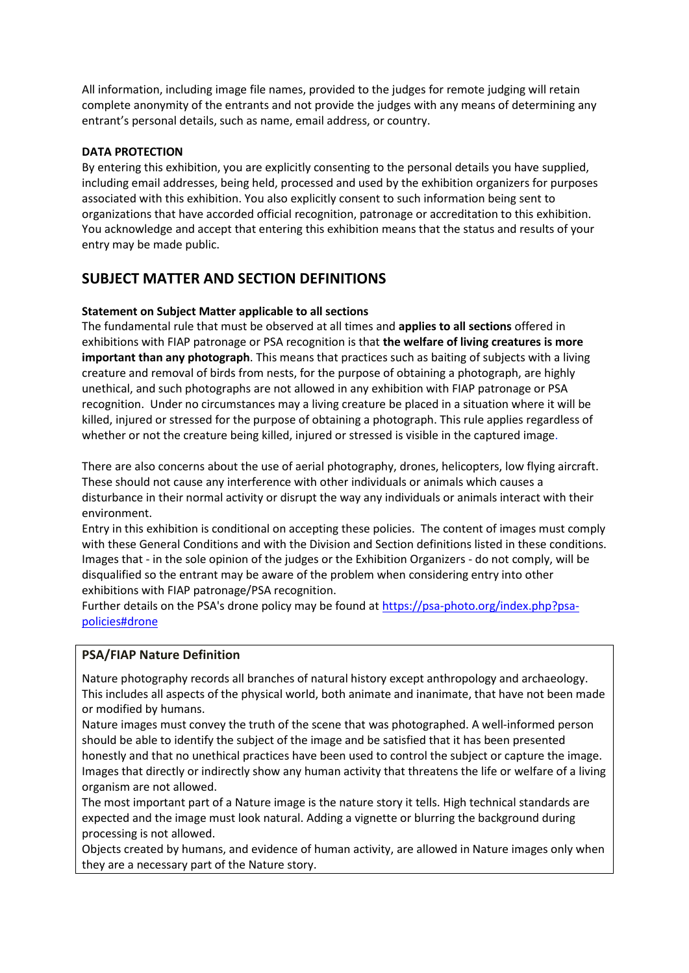All information, including image file names, provided to the judges for remote judging will retain complete anonymity of the entrants and not provide the judges with any means of determining any entrant's personal details, such as name, email address, or country.

### **DATA PROTECTION**

By entering this exhibition, you are explicitly consenting to the personal details you have supplied, including email addresses, being held, processed and used by the exhibition organizers for purposes associated with this exhibition. You also explicitly consent to such information being sent to organizations that have accorded official recognition, patronage or accreditation to this exhibition. You acknowledge and accept that entering this exhibition means that the status and results of your entry may be made public.

# **SUBJECT MATTER AND SECTION DEFINITIONS**

# **Statement on Subject Matter applicable to all sections**

The fundamental rule that must be observed at all times and **applies to all sections** offered in exhibitions with FIAP patronage or PSA recognition is that **the welfare of living creatures is more important than any photograph**. This means that practices such as baiting of subjects with a living creature and removal of birds from nests, for the purpose of obtaining a photograph, are highly unethical, and such photographs are not allowed in any exhibition with FIAP patronage or PSA recognition. Under no circumstances may a living creature be placed in a situation where it will be killed, injured or stressed for the purpose of obtaining a photograph. This rule applies regardless of whether or not the creature being killed, injured or stressed is visible in the captured image.

There are also concerns about the use of aerial photography, drones, helicopters, low flying aircraft. These should not cause any interference with other individuals or animals which causes a disturbance in their normal activity or disrupt the way any individuals or animals interact with their environment.

Entry in this exhibition is conditional on accepting these policies. The content of images must comply with these General Conditions and with the Division and Section definitions listed in these conditions. Images that - in the sole opinion of the judges or the Exhibition Organizers - do not comply, will be disqualified so the entrant may be aware of the problem when considering entry into other exhibitions with FIAP patronage/PSA recognition.

Further details on the PSA's drone policy may be found at [https://psa-photo.org/index.php?psa](https://psa-photo.org/index.php?psa-policies%23drone)[policies#drone](https://psa-photo.org/index.php?psa-policies%23drone)

# **PSA/FIAP Nature Definition**

Nature photography records all branches of natural history except anthropology and archaeology. This includes all aspects of the physical world, both animate and inanimate, that have not been made or modified by humans.

Nature images must convey the truth of the scene that was photographed. A well-informed person should be able to identify the subject of the image and be satisfied that it has been presented honestly and that no unethical practices have been used to control the subject or capture the image. Images that directly or indirectly show any human activity that threatens the life or welfare of a living organism are not allowed.

The most important part of a Nature image is the nature story it tells. High technical standards are expected and the image must look natural. Adding a vignette or blurring the background during processing is not allowed.

Objects created by humans, and evidence of human activity, are allowed in Nature images only when they are a necessary part of the Nature story.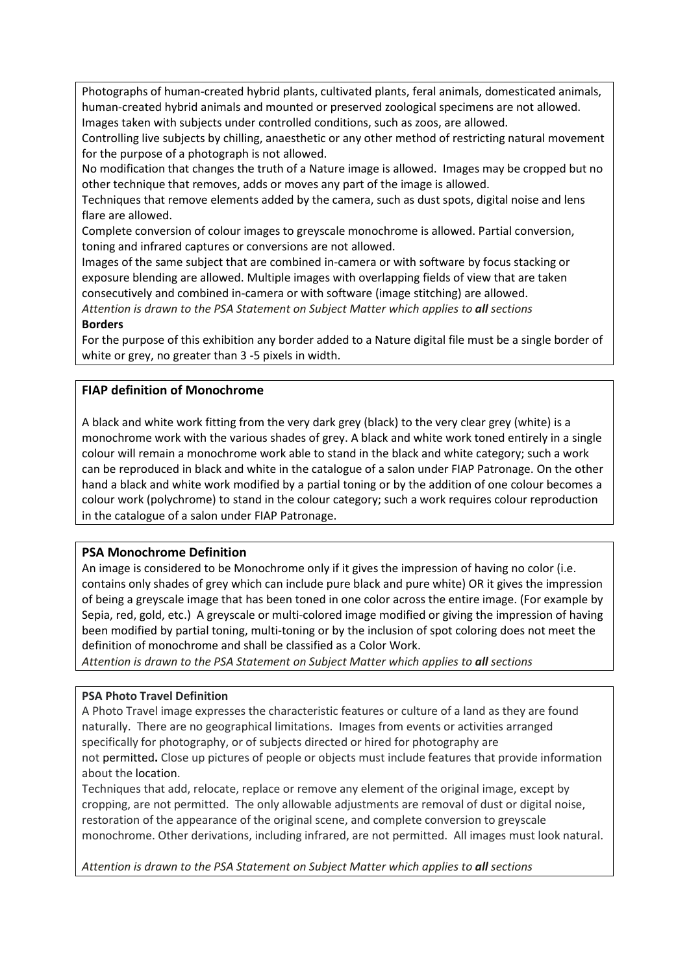Photographs of human-created hybrid plants, cultivated plants, feral animals, domesticated animals, human-created hybrid animals and mounted or preserved zoological specimens are not allowed. Images taken with subjects under controlled conditions, such as zoos, are allowed.

Controlling live subjects by chilling, anaesthetic or any other method of restricting natural movement for the purpose of a photograph is not allowed.

No modification that changes the truth of a Nature image is allowed. Images may be cropped but no other technique that removes, adds or moves any part of the image is allowed.

Techniques that remove elements added by the camera, such as dust spots, digital noise and lens flare are allowed.

Complete conversion of colour images to greyscale monochrome is allowed. Partial conversion, toning and infrared captures or conversions are not allowed.

Images of the same subject that are combined in-camera or with software by focus stacking or exposure blending are allowed. Multiple images with overlapping fields of view that are taken consecutively and combined in-camera or with software (image stitching) are allowed.

*Attention is drawn to the PSA Statement on Subject Matter which applies to all sections* **Borders**

For the purpose of this exhibition any border added to a Nature digital file must be a single border of white or grey, no greater than 3 -5 pixels in width.

# **FIAP definition of Monochrome**

A black and white work fitting from the very dark grey (black) to the very clear grey (white) is a monochrome work with the various shades of grey. A black and white work toned entirely in a single colour will remain a monochrome work able to stand in the black and white category; such a work can be reproduced in black and white in the catalogue of a salon under FIAP Patronage. On the other hand a black and white work modified by a partial toning or by the addition of one colour becomes a colour work (polychrome) to stand in the colour category; such a work requires colour reproduction in the catalogue of a salon under FIAP Patronage.

# **PSA Monochrome Definition**

An image is considered to be Monochrome only if it gives the impression of having no color (i.e. contains only shades of grey which can include pure black and pure white) OR it gives the impression of being a greyscale image that has been toned in one color across the entire image. (For example by Sepia, red, gold, etc.) A greyscale or multi-colored image modified or giving the impression of having been modified by partial toning, multi-toning or by the inclusion of spot coloring does not meet the definition of monochrome and shall be classified as a Color Work.

*Attention is drawn to the PSA Statement on Subject Matter which applies to all sections*

# **PSA Photo Travel Definition**

A Photo Travel image expresses the characteristic features or culture of a land as they are found naturally. There are no geographical limitations. Images from events or activities arranged specifically for photography, or of subjects directed or hired for photography are not permitted**.** Close up pictures of people or objects must include features that provide information about the location.

Techniques that add, relocate, replace or remove any element of the original image, except by cropping, are not permitted. The only allowable adjustments are removal of dust or digital noise, restoration of the appearance of the original scene, and complete conversion to greyscale monochrome. Other derivations, including infrared, are not permitted. All images must look natural.

*Attention is drawn to the PSA Statement on Subject Matter which applies to all sections*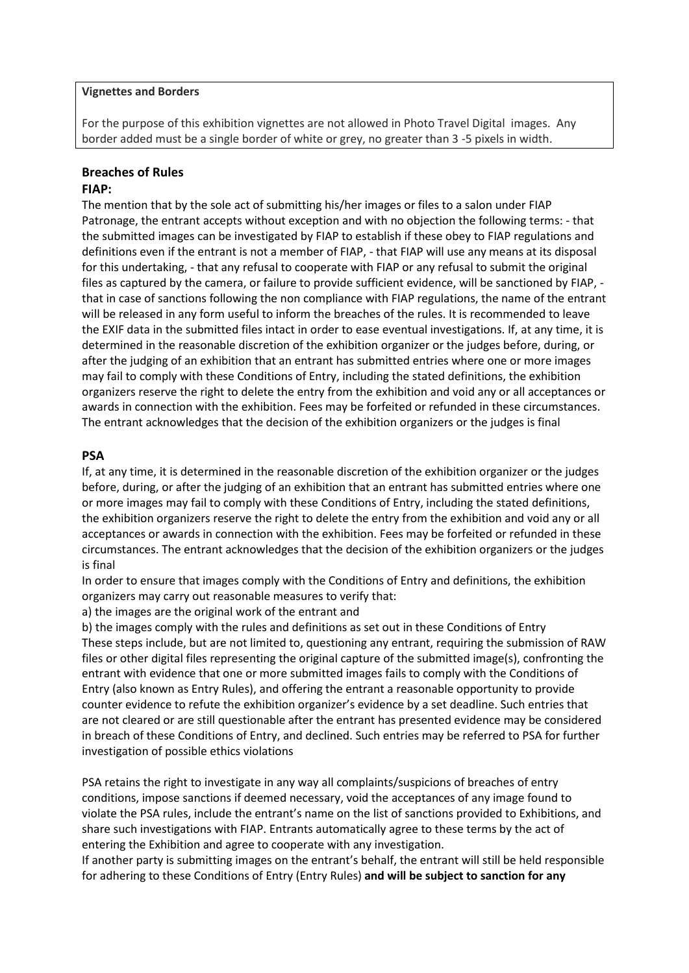#### **Vignettes and Borders**

For the purpose of this exhibition vignettes are not allowed in Photo Travel Digital images. Any border added must be a single border of white or grey, no greater than 3 -5 pixels in width.

### **Breaches of Rules**

#### **FIAP:**

The mention that by the sole act of submitting his/her images or files to a salon under FIAP Patronage, the entrant accepts without exception and with no objection the following terms: - that the submitted images can be investigated by FIAP to establish if these obey to FIAP regulations and definitions even if the entrant is not a member of FIAP, - that FIAP will use any means at its disposal for this undertaking, - that any refusal to cooperate with FIAP or any refusal to submit the original files as captured by the camera, or failure to provide sufficient evidence, will be sanctioned by FIAP, that in case of sanctions following the non compliance with FIAP regulations, the name of the entrant will be released in any form useful to inform the breaches of the rules. It is recommended to leave the EXIF data in the submitted files intact in order to ease eventual investigations. If, at any time, it is determined in the reasonable discretion of the exhibition organizer or the judges before, during, or after the judging of an exhibition that an entrant has submitted entries where one or more images may fail to comply with these Conditions of Entry, including the stated definitions, the exhibition organizers reserve the right to delete the entry from the exhibition and void any or all acceptances or awards in connection with the exhibition. Fees may be forfeited or refunded in these circumstances. The entrant acknowledges that the decision of the exhibition organizers or the judges is final

#### **PSA**

If, at any time, it is determined in the reasonable discretion of the exhibition organizer or the judges before, during, or after the judging of an exhibition that an entrant has submitted entries where one or more images may fail to comply with these Conditions of Entry, including the stated definitions, the exhibition organizers reserve the right to delete the entry from the exhibition and void any or all acceptances or awards in connection with the exhibition. Fees may be forfeited or refunded in these circumstances. The entrant acknowledges that the decision of the exhibition organizers or the judges is final

In order to ensure that images comply with the Conditions of Entry and definitions, the exhibition organizers may carry out reasonable measures to verify that:

a) the images are the original work of the entrant and

b) the images comply with the rules and definitions as set out in these Conditions of Entry These steps include, but are not limited to, questioning any entrant, requiring the submission of RAW files or other digital files representing the original capture of the submitted image(s), confronting the entrant with evidence that one or more submitted images fails to comply with the Conditions of Entry (also known as Entry Rules), and offering the entrant a reasonable opportunity to provide counter evidence to refute the exhibition organizer's evidence by a set deadline. Such entries that are not cleared or are still questionable after the entrant has presented evidence may be considered in breach of these Conditions of Entry, and declined. Such entries may be referred to PSA for further investigation of possible ethics violations

PSA retains the right to investigate in any way all complaints/suspicions of breaches of entry conditions, impose sanctions if deemed necessary, void the acceptances of any image found to violate the PSA rules, include the entrant's name on the list of sanctions provided to Exhibitions, and share such investigations with FIAP. Entrants automatically agree to these terms by the act of entering the Exhibition and agree to cooperate with any investigation.

If another party is submitting images on the entrant's behalf, the entrant will still be held responsible for adhering to these Conditions of Entry (Entry Rules) **and will be subject to sanction for any**